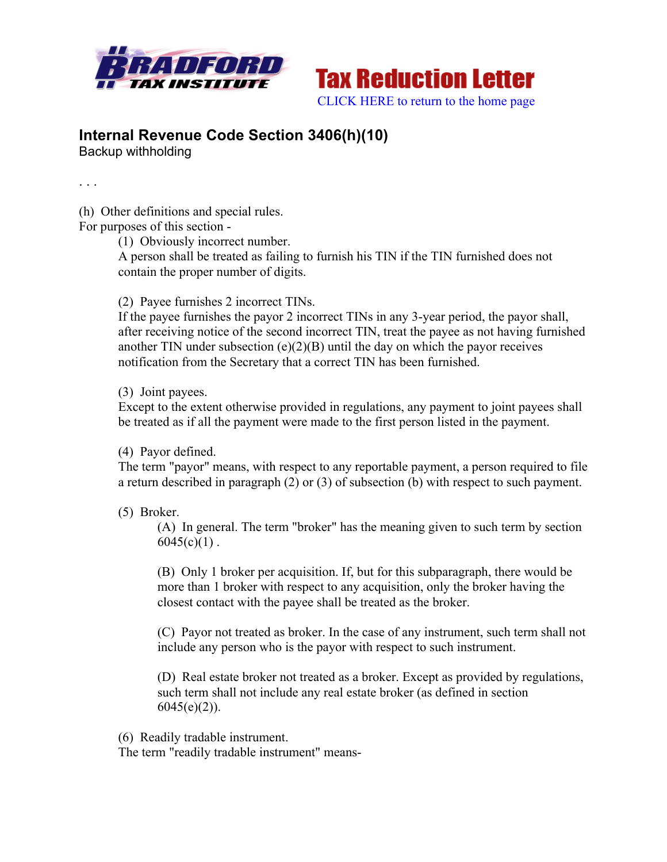



## **Internal Revenue Code Section 3406(h)(10)**

Backup withholding

. . .

(h) Other definitions and special rules.

For purposes of this section -

(1) Obviously incorrect number.

A person shall be treated as failing to furnish his TIN if the TIN furnished does not contain the proper number of digits.

(2) Payee furnishes 2 incorrect TINs.

If the payee furnishes the payor 2 incorrect TINs in any 3-year period, the payor shall, after receiving notice of the second incorrect TIN, treat the payee as not having furnished another TIN under subsection  $(e)(2)(B)$  until the day on which the payor receives notification from the Secretary that a correct TIN has been furnished.

(3) Joint payees.

Except to the extent otherwise provided in regulations, any payment to joint payees shall be treated as if all the payment were made to the first person listed in the payment.

(4) Payor defined.

The term "payor" means, with respect to any reportable payment, a person required to file a return described in paragraph (2) or (3) of subsection (b) with respect to such payment.

(5) Broker.

(A) In general. The term "broker" has the meaning given to such term by section  $6045(c)(1)$ .

(B) Only 1 broker per acquisition. If, but for this subparagraph, there would be more than 1 broker with respect to any acquisition, only the broker having the closest contact with the payee shall be treated as the broker.

(C) Payor not treated as broker. In the case of any instrument, such term shall not include any person who is the payor with respect to such instrument.

(D) Real estate broker not treated as a broker. Except as provided by regulations, such term shall not include any real estate broker (as defined in section  $6045(e)(2)$ ).

(6) Readily tradable instrument.

The term "readily tradable instrument" means-